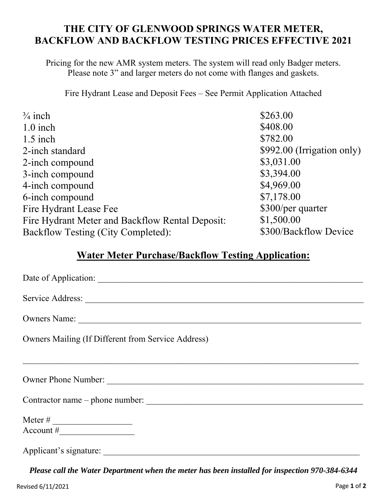## **THE CITY OF GLENWOOD SPRINGS WATER METER, BACKFLOW AND BACKFLOW TESTING PRICES EFFECTIVE 2021**

Pricing for the new AMR system meters. The system will read only Badger meters. Please note 3" and larger meters do not come with flanges and gaskets.

Fire Hydrant Lease and Deposit Fees – See Permit Application Attached

| $\frac{3}{4}$ inch                              | \$263.00                    |
|-------------------------------------------------|-----------------------------|
| $1.0$ inch                                      | \$408.00                    |
| $1.5$ inch                                      | \$782.00                    |
| 2-inch standard                                 | $$992.00$ (Irrigation only) |
| 2-inch compound                                 | \$3,031.00                  |
| 3-inch compound                                 | \$3,394.00                  |
| 4-inch compound                                 | \$4,969.00                  |
| 6-inch compound                                 | \$7,178.00                  |
| Fire Hydrant Lease Fee                          | \$300/per quarter           |
| Fire Hydrant Meter and Backflow Rental Deposit: | \$1,500.00                  |
| Backflow Testing (City Completed):              | \$300/Backflow Device       |

## **Water Meter Purchase/Backflow Testing Application:**

| Date of Application:                               |
|----------------------------------------------------|
| Service Address:                                   |
|                                                    |
| Owners Mailing (If Different from Service Address) |
|                                                    |
| Owner Phone Number:                                |
| Contractor name – phone number:                    |
|                                                    |
| Applicant's signature:                             |

*Please call the Water Department when the meter has been installed for inspection 970-384-6344*